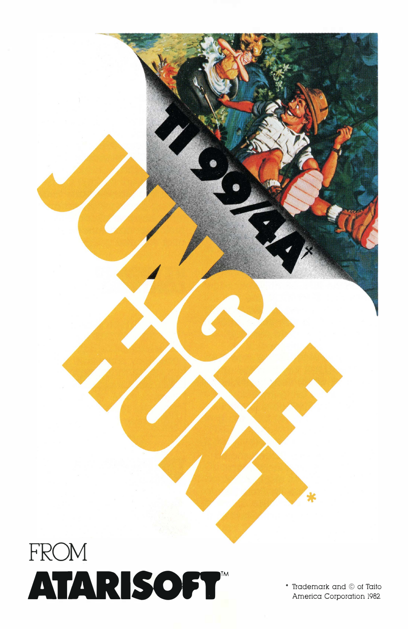



\* Trademark and © of Taito America Corporation 1982.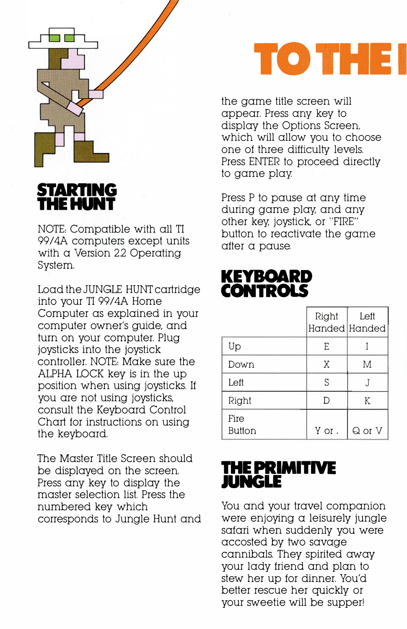

## **STARTING THEHUNT**

NOTE: Compatible with all TI 99/4A computers except units with a Version 2.2 Operating System.

Load the JUNGLE HUNT cartridge into your TI 99/4A Home Computer as explained in your computer owner's guide, and tum on your computer. Plug joysticks into the joystick controller. NOTE: Make sure the ALPHA LOCK key is in the up position when using joysticks. If you are not using joysticks, consult the Keyboard Control Chart for instructions on using the keyboard.

The Master Title Screen should be displayed on the screen. Press any key to display the master selection list. Press the numbered key which corresponds to Jungle Hunt and



the game title screen will appear. Press any key to display the Options Screen, which will allow you to choose one of three difficulty levels. Press ENTER to proceed directly to game play:

Press P to pause at any time during game play; and any other key; joystick, or "FIRE" button to reactivate the game after a pause.

## **KEYBOARD CONTROLS**

|                       | Right<br>Handed Handed | Left       |
|-----------------------|------------------------|------------|
| Up                    | E                      |            |
| Down                  | Χ                      | M          |
| Left                  | S                      |            |
| Right                 | D                      | K          |
| Fire<br><b>Button</b> | Y or .                 | $Q$ or $V$ |

## **THE PRIMITIVE JUNGLE**

You and your travel companion were enjoying a leisurely jungle safari when suddenly you were accosted by two savage cannibals. They spirited away your lady friend and plan to stew her up for dinner. You'd better rescue her quickly or your sweetie will be supper!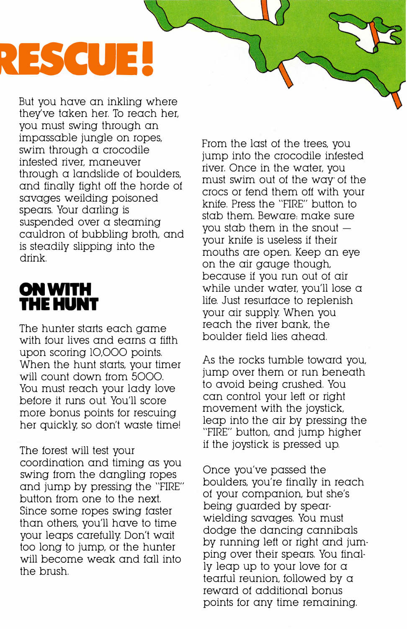# **IESCUE!**

But you have an inkling where they've taken her. To reach her, you must swing through an impassable jungle on ropes, swim through a crocodile infested river, maneuver through a landslide of boulders, and finally fight off the horde of savages weilding poisoned spears. Your darling is suspended over a steaming cauldron of bubbling broth, and is steadily slipping into the drink.

# **ONWITH THE HUNT**

The hunter starts each game with four lives and earns a fifth upon scoring 10,000 points. When the hunt starts, your timer will count down from 5000. You must reach your lady love before it runs out. You'll score more bonus points for rescuing her quickly; so don't waste time!

The forest will test your coordination and timing as you swing from the dangling ropes and jump by pressing the "FIRE" button from one to the next. Since some ropes swing faster than others, you'll have to time your leaps carefully Don't wait too long to jump, or the hunter will become weak and fall into the brush.

From the last of the trees, you jump into the crocodile infested river. Once in the water, you must swim out of the way of the crocs or fend them off with your knife. Press the "FIRE" button to stab them. Beware: make sure you stab them in the snout  $$ your knife is useless if their mouths are open. Keep an eye on the air gauge though, because if you run out of air while under water, you'll lose a life. Just resurface to replenish your air supply When you reach the river bank, the boulder field lies ahead.

As the rocks tumble toward you, jump over them or run beneath to avoid being crushed. You can control your left or right movement with the joystick, leap into the air by pressing the "FIRE" button, and jump higher if the joystick is pressed up

Once you've passed the boulders, you're finally in reach of your companion, but she's being guarded by spearwielding savages. You must dodge the dancing cannibals by running left or right and jumping over their spears. You finally leap up to your love for a tearful reunion, followed by a reward of additional bonus points for any time remaining.